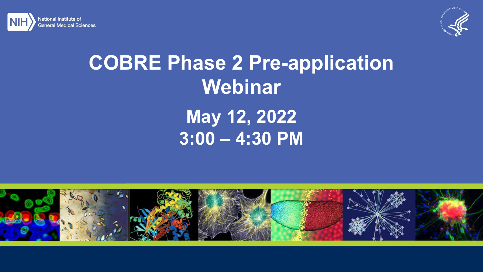



## **COBRE Phase 2 Pre-application Webinar May 12, 2022 3:00 – 4:30 PM**

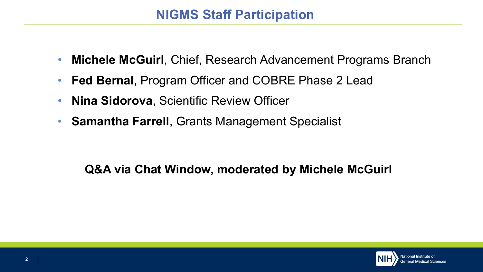- **Michele McGuirl**, Chief, Research Advancement Programs Branch
- **Fed Bernal**, Program Officer and COBRE Phase 2 Lead
- **Nina Sidorova**, Scientific Review Officer
- **Samantha Farrell**, Grants Management Specialist

## **Q&A via Chat Window, moderated by Michele McGuirl**

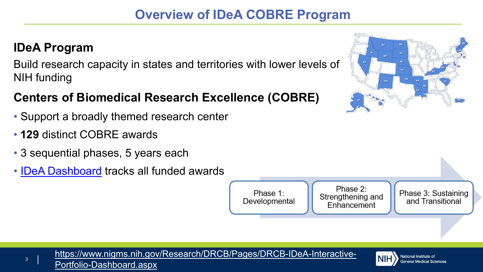## **IDeA Program**

Build research capacity in states and territories with lower levels of NIH funding

## **Centers of Biomedical Research Excellence (COBRE)**

- Support a broadly themed research center
- **129** distinct COBRE awards
- 3 sequential phases, 5 years each
- IDeA [Dashboard](https://www.nigms.nih.gov/Research/DRCB/Pages/DRCB-IDeA-Interactive-Portfolio-Dashboard.aspx) tracks all funded awards





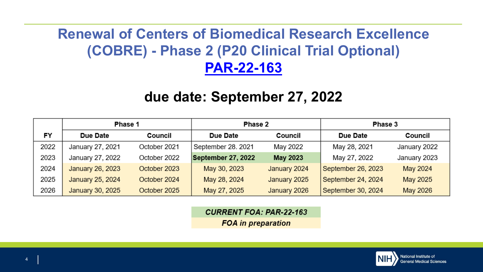## **Renewal of Centers of Biomedical Research Excellence (COBRE) - Phase 2 (P20 Clinical Trial Optional) [PAR-22-163](https://grants.nih.gov/grants/guide/pa-files/par-22-163.html)**

## **due date: September 27, 2022**

|      | Phase 1          |              | Phase 2            |              | Phase 3            |              |
|------|------------------|--------------|--------------------|--------------|--------------------|--------------|
| FY   | Due Date         | Council      | Due Date           | Council      | Due Date           | Council      |
| 2022 | January 27, 2021 | October 2021 | September 28. 2021 | May 2022     | May 28, 2021       | January 2022 |
| 2023 | January 27, 2022 | October 2022 | September 27, 2022 | May 2023     | May 27, 2022       | January 2023 |
| 2024 | January 26, 2023 | October 2023 | May 30, 2023       | January 2024 | September 26, 2023 | May 2024     |
| 2025 | January 25, 2024 | October 2024 | May 28, 2024       | January 2025 | September 24, 2024 | May 2025     |
| 2026 | January 30, 2025 | October 2025 | May 27, 2025       | January 2026 | September 30, 2024 | May 2026     |

**CURRENT FOA: PAR-22-163 FOA** in preparation

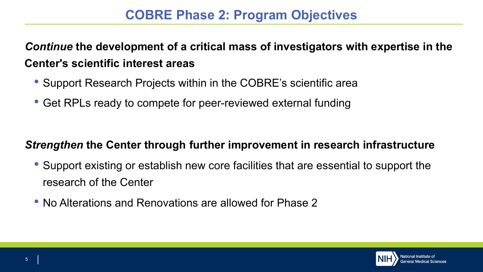*Continue* **the development of a critical mass of investigators with expertise in the Center's scientific interest areas**

- Support Research Projects within in the COBRE's scientific area
- Get RPLs ready to compete for peer-reviewed external funding

#### *Strengthen* **the Center through further improvement in research infrastructure**

- Support existing or establish new core facilities that are essential to support the research of the Center
- No Alterations and Renovations are allowed for Phase 2

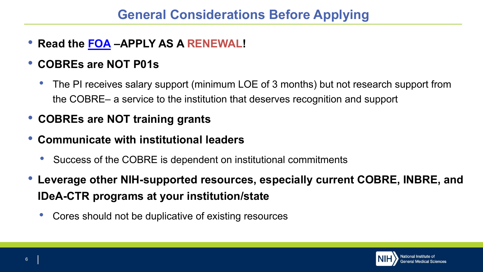- **Read the [FOA](https://grants.nih.gov/grants/guide/pa-files/par-22-163.html) –APPLY AS A RENEWAL!**
- **COBREs are NOT P01s**
	- The PI receives salary support (minimum LOE of 3 months) but not research support from the COBRE– a service to the institution that deserves recognition and support
- **COBREs are NOT training grants**
- **Communicate with institutional leaders**
	- Success of the COBRE is dependent on institutional commitments
- **Leverage other NIH-supported resources, especially current COBRE, INBRE, and IDeA-CTR programs at your institution/state**
	- Cores should not be duplicative of existing resources

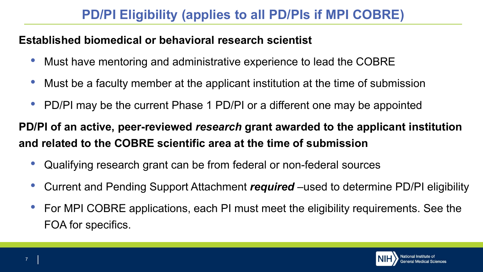## **PD/PI Eligibility (applies to all PD/PIs if MPI COBRE)**

#### **Established biomedical or behavioral research scientist**

- Must have mentoring and administrative experience to lead the COBRE
- Must be a faculty member at the applicant institution at the time of submission
- PD/PI may be the current Phase 1 PD/PI or a different one may be appointed

**PD/PI of an active, peer-reviewed** *research* **grant awarded to the applicant institution and related to the COBRE scientific area at the time of submission**

- Qualifying research grant can be from federal or non-federal sources
- Current and Pending Support Attachment *required* –used to determine PD/PI eligibility
- For MPI COBRE applications, each PI must meet the eligibility requirements. See the FOA for specifics.

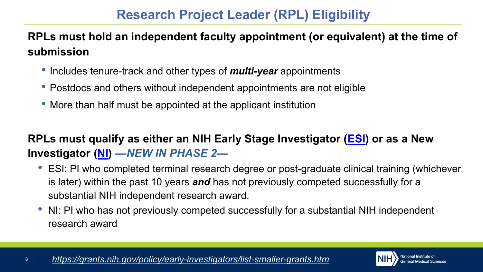## **Research Project Leader (RPL) Eligibility**

### **RPLs must hold an independent faculty appointment (or equivalent) at the time of submission**

- Includes tenure-track and other types of *multi-year* appointments
- Postdocs and others without independent appointments are not eligible
- More than half must be appointed at the applicant institution

## **RPLs must qualify as either an NIH Early Stage Investigator ([ESI](https://grants.nih.gov/grants/glossary.htmEarlyStageInvestigator(ESI))) or as a New Investigator ([NI\)](https://grants.nih.gov/grants/glossary.htm#NewInvestigator)** *—NEW IN PHASE 2—*

- ESI: PI who completed terminal research degree or post-graduate clinical training (whichever is later) within the past 10 years *and* has not previously competed successfully for a substantial NIH independent research award.
- NI: PI who has not previously competed successfully for a substantial NIH independent research award

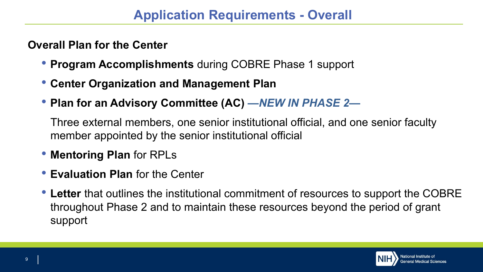#### **Overall Plan for the Center**

- **Program Accomplishments** during COBRE Phase 1 support
- **Center Organization and Management Plan**
- **Plan for an Advisory Committee (AC)** *—NEW IN PHASE 2—*

Three external members, one senior institutional official, and one senior faculty member appointed by the senior institutional official

- **Mentoring Plan** for RPLs
- **Evaluation Plan** for the Center
- **Letter** that outlines the institutional commitment of resources to support the COBRE throughout Phase 2 and to maintain these resources beyond the period of grant support

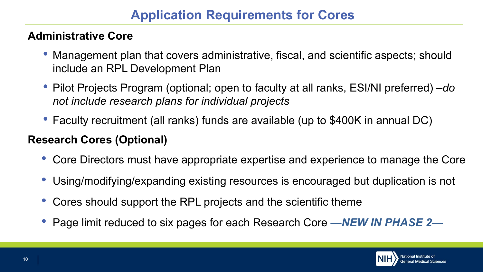#### **Administrative Core**

- Management plan that covers administrative, fiscal, and scientific aspects; should include an RPL Development Plan
- Pilot Projects Program (optional; open to faculty at all ranks, ESI/NI preferred) –*do not include research plans for individual projects*
- Faculty recruitment (all ranks) funds are available (up to \$400K in annual DC)

#### **Research Cores (Optional)**

- Core Directors must have appropriate expertise and experience to manage the Core
- Using/modifying/expanding existing resources is encouraged but duplication is not
- Cores should support the RPL projects and the scientific theme
- Page limit reduced to six pages for each Research Core *—NEW IN PHASE 2—*

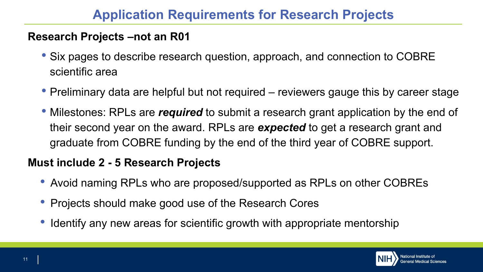#### **Research Projects –not an R01**

- Six pages to describe research question, approach, and connection to COBRE scientific area
- Preliminary data are helpful but not required reviewers gauge this by career stage
- Milestones: RPLs are *required* to submit a research grant application by the end of their second year on the award. RPLs are *expected* to get a research grant and graduate from COBRE funding by the end of the third year of COBRE support.

#### **Must include 2 - 5 Research Projects**

- Avoid naming RPLs who are proposed/supported as RPLs on other COBREs
- Projects should make good use of the Research Cores
- Identify any new areas for scientific growth with appropriate mentorship

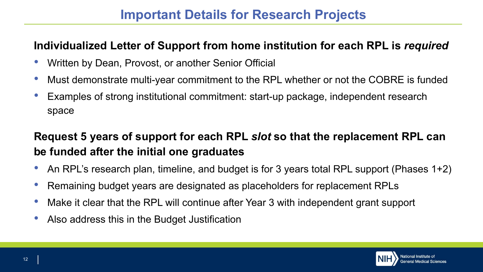#### **Individualized Letter of Support from home institution for each RPL is** *required*

- Written by Dean, Provost, or another Senior Official
- Must demonstrate multi-year commitment to the RPL whether or not the COBRE is funded
- Examples of strong institutional commitment: start-up package, independent research space

## **Request 5 years of support for each RPL** *slot* **so that the replacement RPL can be funded after the initial one graduates**

- An RPL's research plan, timeline, and budget is for 3 years total RPL support (Phases 1+2)
- Remaining budget years are designated as placeholders for replacement RPLs
- Make it clear that the RPL will continue after Year 3 with independent grant support
- Also address this in the Budget Justification

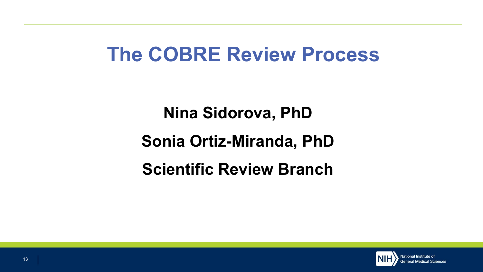## **The COBRE Review Process**

**Nina Sidorova, PhD Sonia Ortiz-Miranda, PhD Scientific Review Branch**

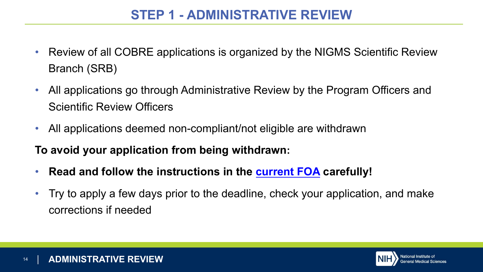## **STEP 1 - ADMINISTRATIVE REVIEW**

- Review of all COBRE applications is organized by the NIGMS Scientific Review Branch (SRB)
- All applications go through Administrative Review by the Program Officers and Scientific Review Officers
- All applications deemed non-compliant/not eligible are withdrawn

**To avoid your application from being withdrawn:** 

- **Read and follow the instructions in the [current](https://grants.nih.gov/grants/guide/pa-files/par-22-163.html) FOA carefully!**
- Try to apply a few days prior to the deadline, check your application, and make corrections if needed

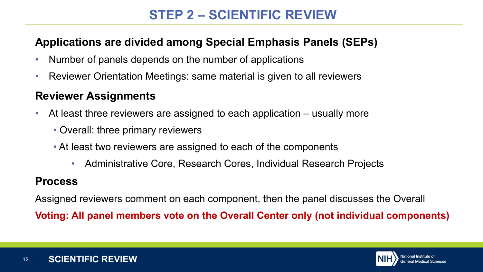## **STEP 2 – SCIENTIFIC REVIEW**

#### **Applications are divided among Special Emphasis Panels (SEPs)**

- Number of panels depends on the number of applications
- Reviewer Orientation Meetings: same material is given to all reviewers

#### **Reviewer Assignments**

- At least three reviewers are assigned to each application usually more
	- Overall: three primary reviewers
	- At least two reviewers are assigned to each of the components
		- Administrative Core, Research Cores, Individual Research Projects

#### **Process**

Assigned reviewers comment on each component, then the panel discusses the Overall

**Voting: All panel members vote on the Overall Center only (not individual components)**

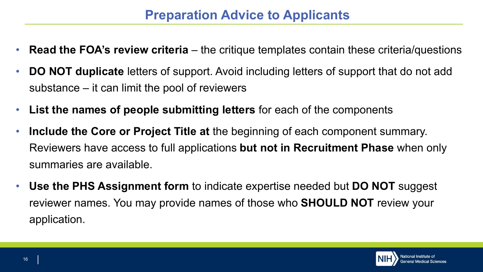## **Preparation Advice to Applicants**

- **Read the FOA's review criteria**  the critique templates contain these criteria/questions
- **DO NOT duplicate** letters of support. Avoid including letters of support that do not add substance – it can limit the pool of reviewers
- **List the names of people submitting letters** for each of the components
- **Include the Core or Project Title at** the beginning of each component summary. Reviewers have access to full applications **but not in Recruitment Phase** when only summaries are available.
- **Use the PHS Assignment form** to indicate expertise needed but **DO NOT** suggest reviewer names. You may provide names of those who **SHOULD NOT** review your application.

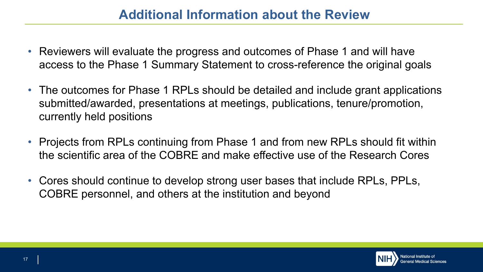## **Additional Information about the Review**

- Reviewers will evaluate the progress and outcomes of Phase 1 and will have access to the Phase 1 Summary Statement to cross-reference the original goals
- The outcomes for Phase 1 RPLs should be detailed and include grant applications submitted/awarded, presentations at meetings, publications, tenure/promotion, currently held positions
- Projects from RPLs continuing from Phase 1 and from new RPLs should fit within the scientific area of the COBRE and make effective use of the Research Cores
- Cores should continue to develop strong user bases that include RPLs, PPLs, COBRE personnel, and others at the institution and beyond



17